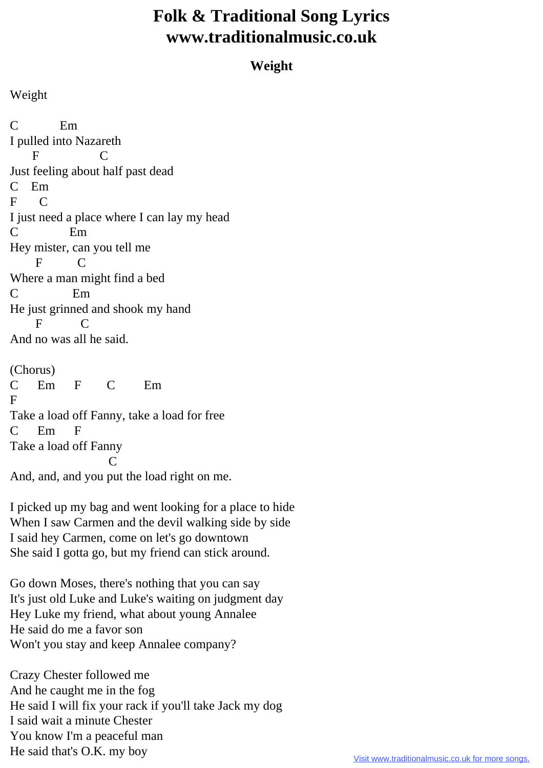## **Folk & Traditional Song Lyrics www.traditionalmusic.co.uk**

## **Weight**

Weight

C Em I pulled into Nazareth F C Just feeling about half past dead C Em F C I just need a place where I can lay my head C Em Hey mister, can you tell me F C Where a man might find a bed C Em He just grinned and shook my hand F C And no was all he said. (Chorus)

C Em F C Em F Take a load off Fanny, take a load for free C Em F Take a load off Fanny **C** 

And, and, and you put the load right on me.

I picked up my bag and went looking for a place to hide When I saw Carmen and the devil walking side by side I said hey Carmen, come on let's go downtown She said I gotta go, but my friend can stick around.

Go down Moses, there's nothing that you can say It's just old Luke and Luke's waiting on judgment day Hey Luke my friend, what about young Annalee He said do me a favor son Won't you stay and keep Annalee company?

Crazy Chester followed me And he caught me in the fog He said I will fix your rack if you'll take Jack my dog I said wait a minute Chester You know I'm a peaceful man He said that's O.K. my boy